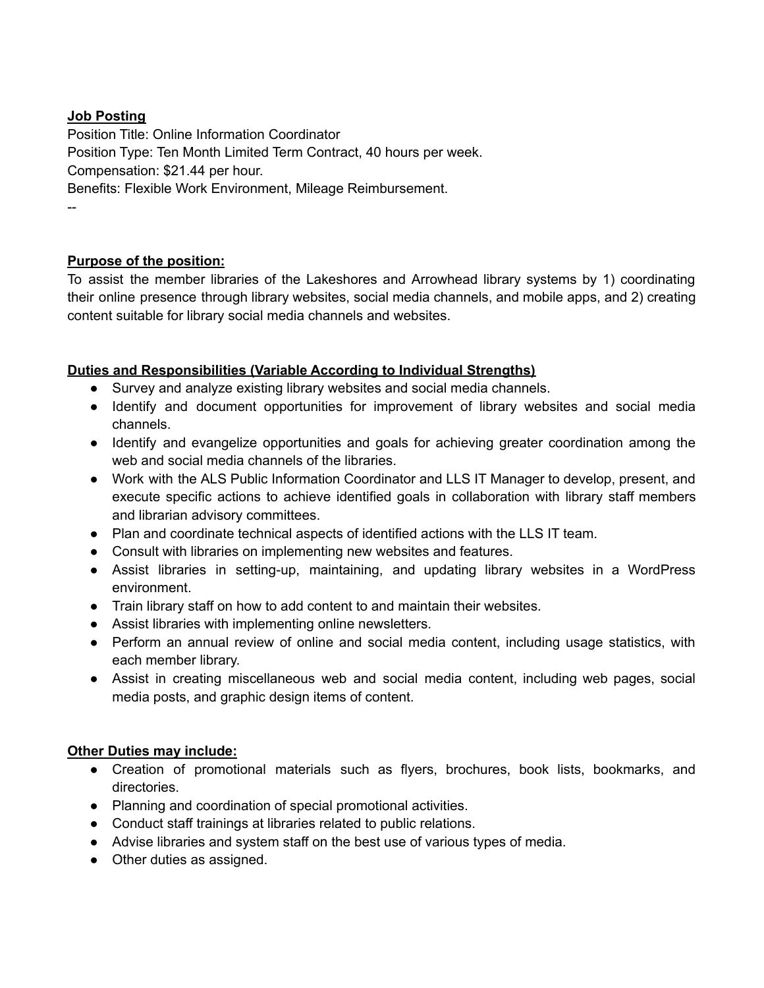# **Job Posting**

Position Title: Online Information Coordinator Position Type: Ten Month Limited Term Contract, 40 hours per week. Compensation: \$21.44 per hour. Benefits: Flexible Work Environment, Mileage Reimbursement. --

# **Purpose of the position:**

To assist the member libraries of the Lakeshores and Arrowhead library systems by 1) coordinating their online presence through library websites, social media channels, and mobile apps, and 2) creating content suitable for library social media channels and websites.

#### **Duties and Responsibilities (Variable According to Individual Strengths)**

- Survey and analyze existing library websites and social media channels.
- Identify and document opportunities for improvement of library websites and social media channels.
- Identify and evangelize opportunities and goals for achieving greater coordination among the web and social media channels of the libraries.
- Work with the ALS Public Information Coordinator and LLS IT Manager to develop, present, and execute specific actions to achieve identified goals in collaboration with library staff members and librarian advisory committees.
- Plan and coordinate technical aspects of identified actions with the LLS IT team.
- Consult with libraries on implementing new websites and features.
- Assist libraries in setting-up, maintaining, and updating library websites in a WordPress environment.
- Train library staff on how to add content to and maintain their websites.
- Assist libraries with implementing online newsletters.
- Perform an annual review of online and social media content, including usage statistics, with each member library.
- Assist in creating miscellaneous web and social media content, including web pages, social media posts, and graphic design items of content.

#### **Other Duties may include:**

- Creation of promotional materials such as flyers, brochures, book lists, bookmarks, and directories.
- Planning and coordination of special promotional activities.
- Conduct staff trainings at libraries related to public relations.
- Advise libraries and system staff on the best use of various types of media.
- Other duties as assigned.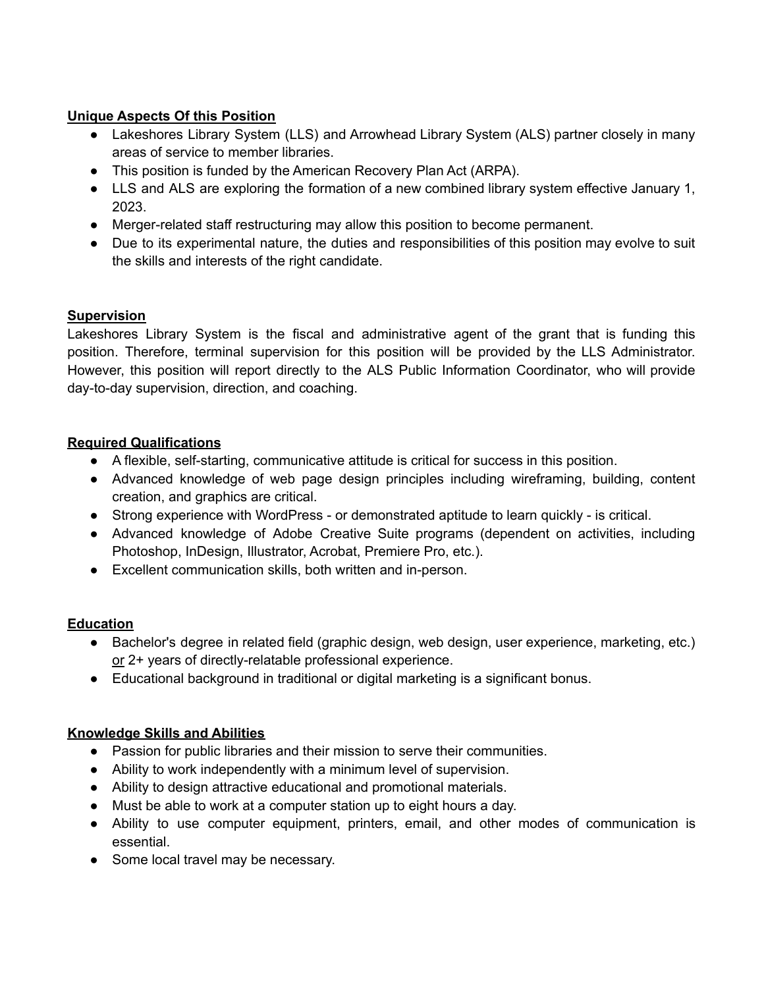# **Unique Aspects Of this Position**

- Lakeshores Library System (LLS) and Arrowhead Library System (ALS) partner closely in many areas of service to member libraries.
- This position is funded by the American Recovery Plan Act (ARPA).
- LLS and ALS are exploring the formation of a new combined library system effective January 1, 2023.
- Merger-related staff restructuring may allow this position to become permanent.
- Due to its experimental nature, the duties and responsibilities of this position may evolve to suit the skills and interests of the right candidate.

# **Supervision**

Lakeshores Library System is the fiscal and administrative agent of the grant that is funding this position. Therefore, terminal supervision for this position will be provided by the LLS Administrator. However, this position will report directly to the ALS Public Information Coordinator, who will provide day-to-day supervision, direction, and coaching.

# **Required Qualifications**

- A flexible, self-starting, communicative attitude is critical for success in this position.
- Advanced knowledge of web page design principles including wireframing, building, content creation, and graphics are critical.
- Strong experience with WordPress or demonstrated aptitude to learn quickly is critical.
- Advanced knowledge of Adobe Creative Suite programs (dependent on activities, including Photoshop, InDesign, Illustrator, Acrobat, Premiere Pro, etc.).
- Excellent communication skills, both written and in-person.

# **Education**

- Bachelor's degree in related field (graphic design, web design, user experience, marketing, etc.) or 2+ years of directly-relatable professional experience.
- Educational background in traditional or digital marketing is a significant bonus.

# **Knowledge Skills and Abilities**

- Passion for public libraries and their mission to serve their communities.
- Ability to work independently with a minimum level of supervision.
- Ability to design attractive educational and promotional materials.
- Must be able to work at a computer station up to eight hours a day.
- Ability to use computer equipment, printers, email, and other modes of communication is essential.
- Some local travel may be necessary.